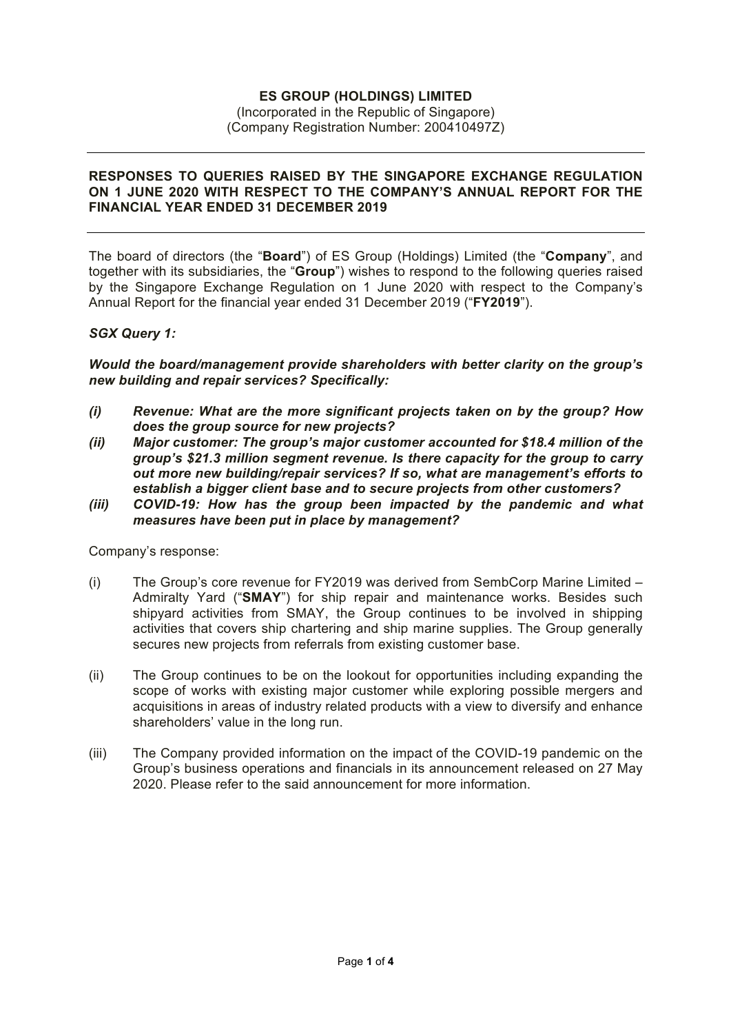# **ES GROUP (HOLDINGS) LIMITED**

#### (Incorporated in the Republic of Singapore) (Company Registration Number: 200410497Z)

#### **RESPONSES TO QUERIES RAISED BY THE SINGAPORE EXCHANGE REGULATION ON 1 JUNE 2020 WITH RESPECT TO THE COMPANY'S ANNUAL REPORT FOR THE FINANCIAL YEAR ENDED 31 DECEMBER 2019**

The board of directors (the "**Board**") of ES Group (Holdings) Limited (the "**Company**", and together with its subsidiaries, the "**Group**") wishes to respond to the following queries raised by the Singapore Exchange Regulation on 1 June 2020 with respect to the Company's Annual Report for the financial year ended 31 December 2019 ("**FY2019**").

### *SGX Query 1:*

*Would the board/management provide shareholders with better clarity on the group's new building and repair services? Specifically:* 

- *(i) Revenue: What are the more significant projects taken on by the group? How does the group source for new projects?*
- *(ii) Major customer: The group's major customer accounted for \$18.4 million of the group's \$21.3 million segment revenue. Is there capacity for the group to carry out more new building/repair services? If so, what are management's efforts to establish a bigger client base and to secure projects from other customers?*
- *(iii) COVID-19: How has the group been impacted by the pandemic and what measures have been put in place by management?*

Company's response:

- (i) The Group's core revenue for FY2019 was derived from SembCorp Marine Limited Admiralty Yard ("**SMAY**") for ship repair and maintenance works. Besides such shipyard activities from SMAY, the Group continues to be involved in shipping activities that covers ship chartering and ship marine supplies. The Group generally secures new projects from referrals from existing customer base.
- (ii) The Group continues to be on the lookout for opportunities including expanding the scope of works with existing major customer while exploring possible mergers and acquisitions in areas of industry related products with a view to diversify and enhance shareholders' value in the long run.
- (iii) The Company provided information on the impact of the COVID-19 pandemic on the Group's business operations and financials in its announcement released on 27 May 2020. Please refer to the said announcement for more information.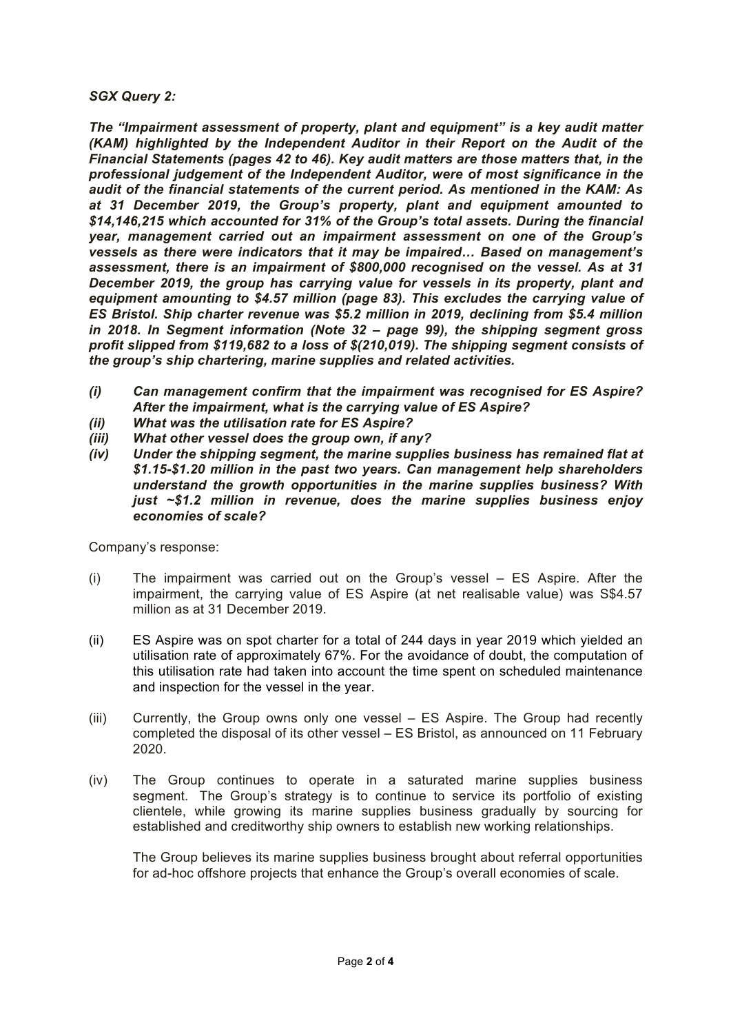## *SGX Query 2:*

*The "Impairment assessment of property, plant and equipment" is a key audit matter (KAM) highlighted by the Independent Auditor in their Report on the Audit of the Financial Statements (pages 42 to 46). Key audit matters are those matters that, in the professional judgement of the Independent Auditor, were of most significance in the audit of the financial statements of the current period. As mentioned in the KAM: As at 31 December 2019, the Group's property, plant and equipment amounted to \$14,146,215 which accounted for 31% of the Group's total assets. During the financial year, management carried out an impairment assessment on one of the Group's vessels as there were indicators that it may be impaired… Based on management's assessment, there is an impairment of \$800,000 recognised on the vessel. As at 31 December 2019, the group has carrying value for vessels in its property, plant and equipment amounting to \$4.57 million (page 83). This excludes the carrying value of ES Bristol. Ship charter revenue was \$5.2 million in 2019, declining from \$5.4 million in 2018. In Segment information (Note 32 – page 99), the shipping segment gross profit slipped from \$119,682 to a loss of \$(210,019). The shipping segment consists of the group's ship chartering, marine supplies and related activities.* 

- *(i) Can management confirm that the impairment was recognised for ES Aspire? After the impairment, what is the carrying value of ES Aspire?*
- *(ii) What was the utilisation rate for ES Aspire?*
- *(iii) What other vessel does the group own, if any?*
- *(iv) Under the shipping segment, the marine supplies business has remained flat at \$1.15-\$1.20 million in the past two years. Can management help shareholders understand the growth opportunities in the marine supplies business? With just ~\$1.2 million in revenue, does the marine supplies business enjoy economies of scale?*

Company's response:

- (i) The impairment was carried out on the Group's vessel ES Aspire. After the impairment, the carrying value of ES Aspire (at net realisable value) was S\$4.57 million as at 31 December 2019.
- (ii) ES Aspire was on spot charter for a total of 244 days in year 2019 which yielded an utilisation rate of approximately 67%. For the avoidance of doubt, the computation of this utilisation rate had taken into account the time spent on scheduled maintenance and inspection for the vessel in the year.
- (iii) Currently, the Group owns only one vessel ES Aspire. The Group had recently completed the disposal of its other vessel – ES Bristol, as announced on 11 February 2020.
- (iv) The Group continues to operate in a saturated marine supplies business segment. The Group's strategy is to continue to service its portfolio of existing clientele, while growing its marine supplies business gradually by sourcing for established and creditworthy ship owners to establish new working relationships.

The Group believes its marine supplies business brought about referral opportunities for ad-hoc offshore projects that enhance the Group's overall economies of scale.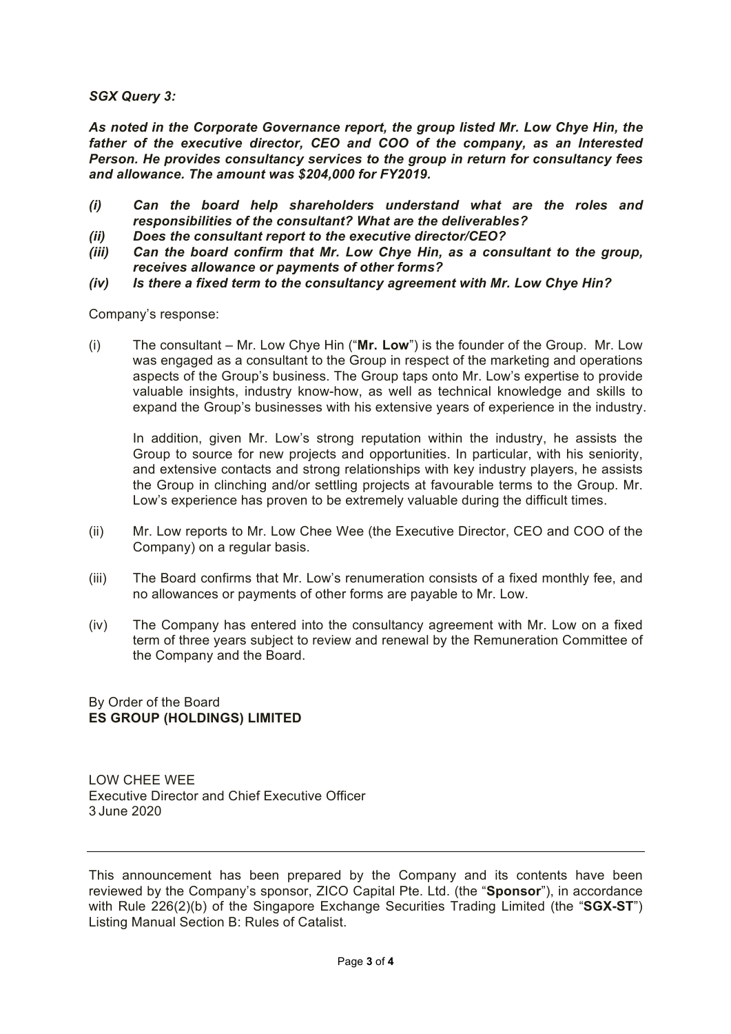*SGX Query 3:*

*As noted in the Corporate Governance report, the group listed Mr. Low Chye Hin, the father of the executive director, CEO and COO of the company, as an Interested Person. He provides consultancy services to the group in return for consultancy fees and allowance. The amount was \$204,000 for FY2019.*

- *(i) Can the board help shareholders understand what are the roles and responsibilities of the consultant? What are the deliverables?*
- *(ii) Does the consultant report to the executive director/CEO?*
- *(iii) Can the board confirm that Mr. Low Chye Hin, as a consultant to the group, receives allowance or payments of other forms?*
- *(iv) Is there a fixed term to the consultancy agreement with Mr. Low Chye Hin?*

Company's response:

(i) The consultant – Mr. Low Chye Hin ("**Mr. Low**") is the founder of the Group. Mr. Low was engaged as a consultant to the Group in respect of the marketing and operations aspects of the Group's business. The Group taps onto Mr. Low's expertise to provide valuable insights, industry know-how, as well as technical knowledge and skills to expand the Group's businesses with his extensive years of experience in the industry.

In addition, given Mr. Low's strong reputation within the industry, he assists the Group to source for new projects and opportunities. In particular, with his seniority, and extensive contacts and strong relationships with key industry players, he assists the Group in clinching and/or settling projects at favourable terms to the Group. Mr. Low's experience has proven to be extremely valuable during the difficult times.

- (ii) Mr. Low reports to Mr. Low Chee Wee (the Executive Director, CEO and COO of the Company) on a regular basis.
- (iii) The Board confirms that Mr. Low's renumeration consists of a fixed monthly fee, and no allowances or payments of other forms are payable to Mr. Low.
- (iv) The Company has entered into the consultancy agreement with Mr. Low on a fixed term of three years subject to review and renewal by the Remuneration Committee of the Company and the Board.

By Order of the Board **ES GROUP (HOLDINGS) LIMITED**

LOW CHEE WEE Executive Director and Chief Executive Officer 3 June 2020

This announcement has been prepared by the Company and its contents have been reviewed by the Company's sponsor, ZICO Capital Pte. Ltd. (the "**Sponsor**"), in accordance with Rule 226(2)(b) of the Singapore Exchange Securities Trading Limited (the "**SGX-ST**") Listing Manual Section B: Rules of Catalist.